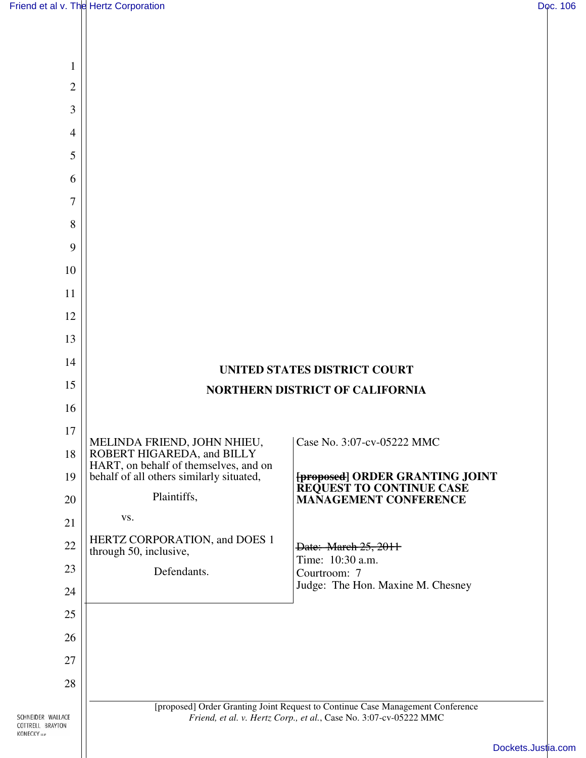$\mathsf{I}\mathsf{I}$ 

| 1            |                                                                                   |                                                                                |
|--------------|-----------------------------------------------------------------------------------|--------------------------------------------------------------------------------|
| $\mathbf{2}$ |                                                                                   |                                                                                |
| 3            |                                                                                   |                                                                                |
| 4            |                                                                                   |                                                                                |
| 5            |                                                                                   |                                                                                |
| 6            |                                                                                   |                                                                                |
| 7            |                                                                                   |                                                                                |
| 8            |                                                                                   |                                                                                |
| 9            |                                                                                   |                                                                                |
| 10           |                                                                                   |                                                                                |
| 11           |                                                                                   |                                                                                |
| 12           |                                                                                   |                                                                                |
| 13           |                                                                                   |                                                                                |
| 14           |                                                                                   | UNITED STATES DISTRICT COURT                                                   |
| 15           | NORTHERN DISTRICT OF CALIFORNIA                                                   |                                                                                |
| 16           |                                                                                   |                                                                                |
| 17           |                                                                                   |                                                                                |
|              |                                                                                   |                                                                                |
| 18           | MELINDA FRIEND, JOHN NHIEU,<br>ROBERT HIGAREDA, and BILLY                         | Case No. 3:07-cv-05222 MMC                                                     |
| 19           | HART, on behalf of themselves, and on<br>behalf of all others similarly situated, | [proposed] ORDER GRANTING JOINT                                                |
| 20           | Plaintiffs,                                                                       | REQUEST TO CONTINUE CASE<br><b>MANAGEMENT CONFERENCE</b>                       |
| 21           | VS.                                                                               |                                                                                |
| 22           | HERTZ CORPORATION, and DOES 1<br>through 50, inclusive,                           | Date: March 25, 2011                                                           |
| 23           | Defendants.                                                                       | Time: 10:30 a.m.<br>Courtroom: 7                                               |
| 24           |                                                                                   | Judge: The Hon. Maxine M. Chesney                                              |
| 25           |                                                                                   |                                                                                |
| 26           |                                                                                   |                                                                                |
| 27           |                                                                                   |                                                                                |
| 28           |                                                                                   | [proposed] Order Granting Joint Request to Continue Case Management Conference |